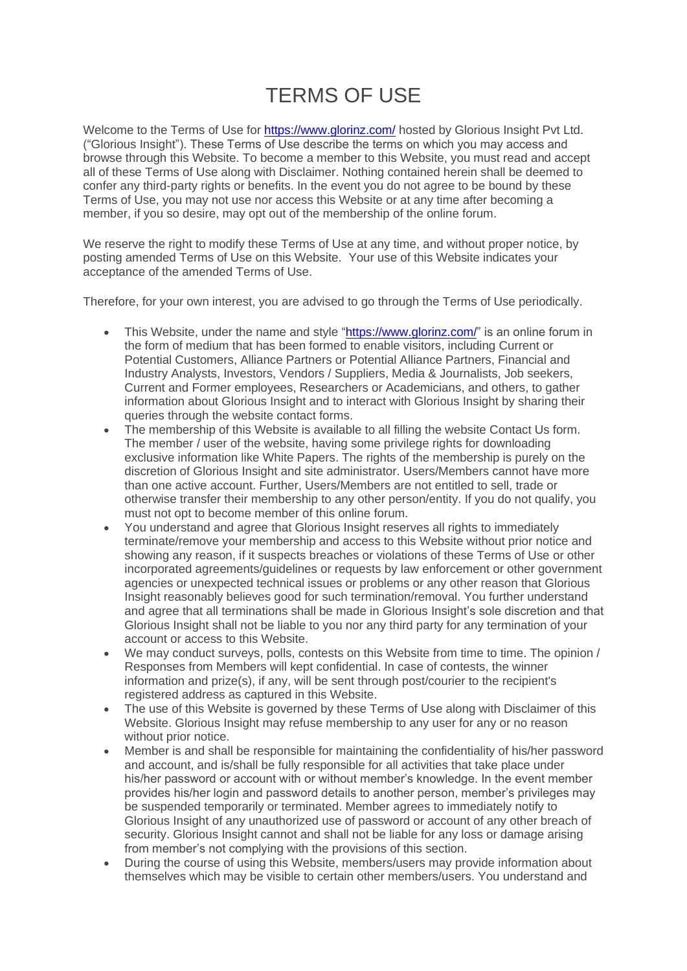## TERMS OF USE

Welcome to the Terms of Use for<https://www.glorinz.com/> hosted by Glorious Insight Pvt Ltd. ("Glorious Insight"). These Terms of Use describe the terms on which you may access and browse through this Website. To become a member to this Website, you must read and accept all of these Terms of Use along with Disclaimer. Nothing contained herein shall be deemed to confer any third-party rights or benefits. In the event you do not agree to be bound by these Terms of Use, you may not use nor access this Website or at any time after becoming a member, if you so desire, may opt out of the membership of the online forum.

We reserve the right to modify these Terms of Use at any time, and without proper notice, by posting amended Terms of Use on this Website. Your use of this Website indicates your acceptance of the amended Terms of Use.

Therefore, for your own interest, you are advised to go through the Terms of Use periodically.

- This Website, under the name and style ["https://www.glorinz.com/"](https://www.glorinz.com/) is an online forum in the form of medium that has been formed to enable visitors, including Current or Potential Customers, Alliance Partners or Potential Alliance Partners, Financial and Industry Analysts, Investors, Vendors / Suppliers, Media & Journalists, Job seekers, Current and Former employees, Researchers or Academicians, and others, to gather information about Glorious Insight and to interact with Glorious Insight by sharing their queries through the website contact forms.
- The membership of this Website is available to all filling the website Contact Us form. The member / user of the website, having some privilege rights for downloading exclusive information like White Papers. The rights of the membership is purely on the discretion of Glorious Insight and site administrator. Users/Members cannot have more than one active account. Further, Users/Members are not entitled to sell, trade or otherwise transfer their membership to any other person/entity. If you do not qualify, you must not opt to become member of this online forum.
- You understand and agree that Glorious Insight reserves all rights to immediately terminate/remove your membership and access to this Website without prior notice and showing any reason, if it suspects breaches or violations of these Terms of Use or other incorporated agreements/guidelines or requests by law enforcement or other government agencies or unexpected technical issues or problems or any other reason that Glorious Insight reasonably believes good for such termination/removal. You further understand and agree that all terminations shall be made in Glorious Insight's sole discretion and that Glorious Insight shall not be liable to you nor any third party for any termination of your account or access to this Website.
- We may conduct surveys, polls, contests on this Website from time to time. The opinion / Responses from Members will kept confidential. In case of contests, the winner information and prize(s), if any, will be sent through post/courier to the recipient's registered address as captured in this Website.
- The use of this Website is governed by these Terms of Use along with Disclaimer of this Website. Glorious Insight may refuse membership to any user for any or no reason without prior notice.
- Member is and shall be responsible for maintaining the confidentiality of his/her password and account, and is/shall be fully responsible for all activities that take place under his/her password or account with or without member's knowledge. In the event member provides his/her login and password details to another person, member's privileges may be suspended temporarily or terminated. Member agrees to immediately notify to Glorious Insight of any unauthorized use of password or account of any other breach of security. Glorious Insight cannot and shall not be liable for any loss or damage arising from member's not complying with the provisions of this section.
- During the course of using this Website, members/users may provide information about themselves which may be visible to certain other members/users. You understand and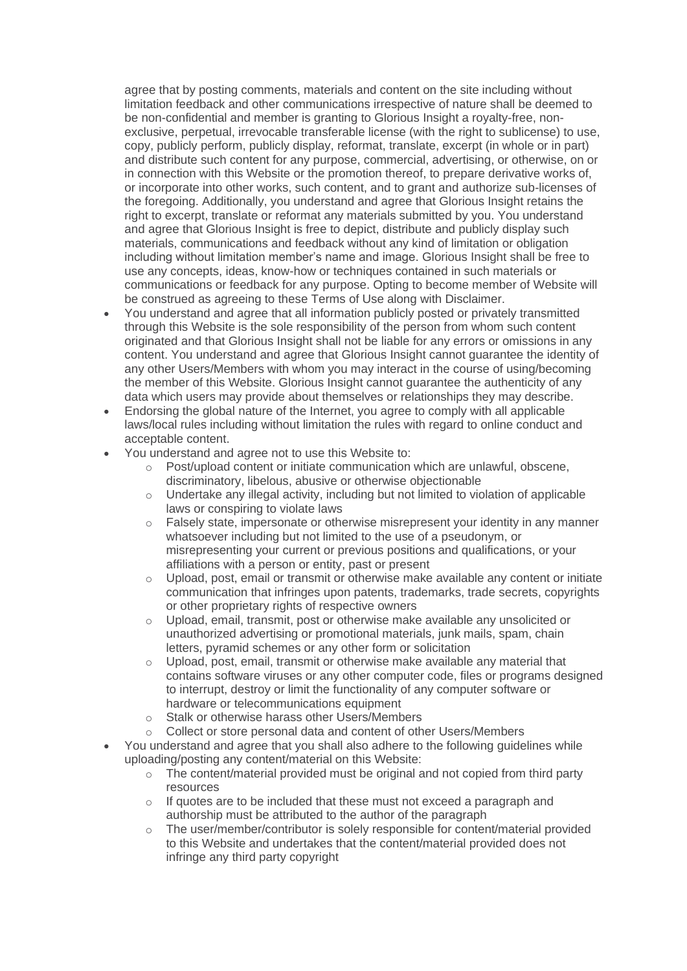agree that by posting comments, materials and content on the site including without limitation feedback and other communications irrespective of nature shall be deemed to be non-confidential and member is granting to Glorious Insight a royalty-free, nonexclusive, perpetual, irrevocable transferable license (with the right to sublicense) to use, copy, publicly perform, publicly display, reformat, translate, excerpt (in whole or in part) and distribute such content for any purpose, commercial, advertising, or otherwise, on or in connection with this Website or the promotion thereof, to prepare derivative works of, or incorporate into other works, such content, and to grant and authorize sub-licenses of the foregoing. Additionally, you understand and agree that Glorious Insight retains the right to excerpt, translate or reformat any materials submitted by you. You understand and agree that Glorious Insight is free to depict, distribute and publicly display such materials, communications and feedback without any kind of limitation or obligation including without limitation member's name and image. Glorious Insight shall be free to use any concepts, ideas, know-how or techniques contained in such materials or communications or feedback for any purpose. Opting to become member of Website will be construed as agreeing to these Terms of Use along with Disclaimer.

- You understand and agree that all information publicly posted or privately transmitted through this Website is the sole responsibility of the person from whom such content originated and that Glorious Insight shall not be liable for any errors or omissions in any content. You understand and agree that Glorious Insight cannot guarantee the identity of any other Users/Members with whom you may interact in the course of using/becoming the member of this Website. Glorious Insight cannot guarantee the authenticity of any data which users may provide about themselves or relationships they may describe.
- Endorsing the global nature of the Internet, you agree to comply with all applicable laws/local rules including without limitation the rules with regard to online conduct and acceptable content.
- You understand and agree not to use this Website to:
	- $\circ$  Post/upload content or initiate communication which are unlawful, obscene, discriminatory, libelous, abusive or otherwise objectionable
	- $\circ$  Undertake any illegal activity, including but not limited to violation of applicable laws or conspiring to violate laws
	- o Falsely state, impersonate or otherwise misrepresent your identity in any manner whatsoever including but not limited to the use of a pseudonym, or misrepresenting your current or previous positions and qualifications, or your affiliations with a person or entity, past or present
	- o Upload, post, email or transmit or otherwise make available any content or initiate communication that infringes upon patents, trademarks, trade secrets, copyrights or other proprietary rights of respective owners
	- o Upload, email, transmit, post or otherwise make available any unsolicited or unauthorized advertising or promotional materials, junk mails, spam, chain letters, pyramid schemes or any other form or solicitation
	- o Upload, post, email, transmit or otherwise make available any material that contains software viruses or any other computer code, files or programs designed to interrupt, destroy or limit the functionality of any computer software or hardware or telecommunications equipment
	- o Stalk or otherwise harass other Users/Members
	- o Collect or store personal data and content of other Users/Members
- You understand and agree that you shall also adhere to the following guidelines while uploading/posting any content/material on this Website:
	- $\circ$  The content/material provided must be original and not copied from third party resources
	- If quotes are to be included that these must not exceed a paragraph and authorship must be attributed to the author of the paragraph
	- $\circ$  The user/member/contributor is solely responsible for content/material provided to this Website and undertakes that the content/material provided does not infringe any third party copyright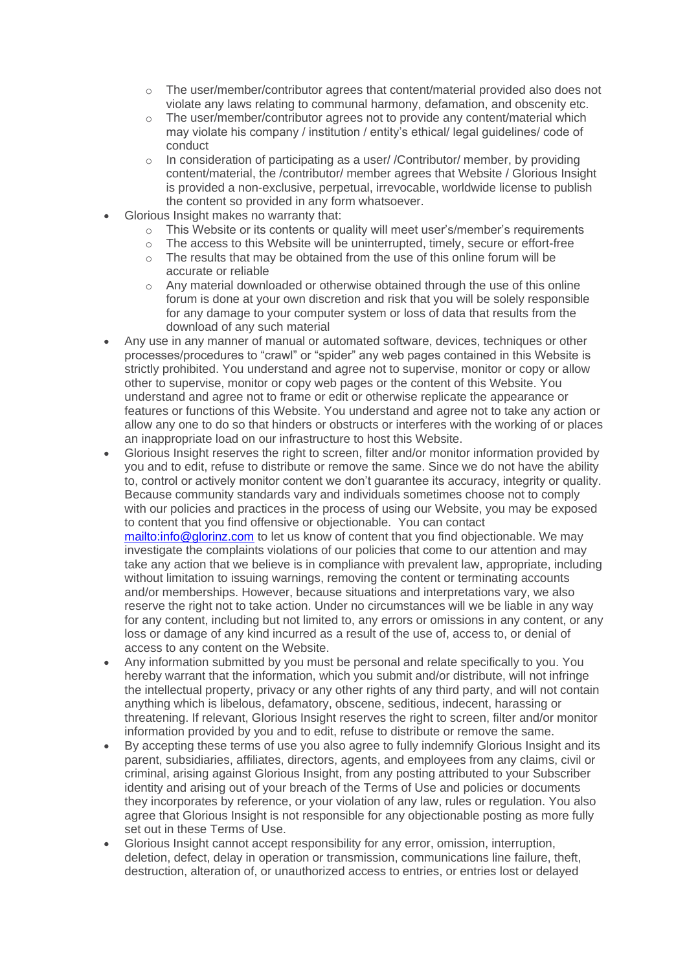- $\circ$  The user/member/contributor agrees that content/material provided also does not violate any laws relating to communal harmony, defamation, and obscenity etc.
- o The user/member/contributor agrees not to provide any content/material which may violate his company / institution / entity's ethical/ legal guidelines/ code of conduct
- o In consideration of participating as a user/ /Contributor/ member, by providing content/material, the /contributor/ member agrees that Website / Glorious Insight is provided a non-exclusive, perpetual, irrevocable, worldwide license to publish the content so provided in any form whatsoever.
- Glorious Insight makes no warranty that:
	- This Website or its contents or quality will meet user's/member's requirements
	- o The access to this Website will be uninterrupted, timely, secure or effort-free
	- o The results that may be obtained from the use of this online forum will be accurate or reliable
	- o Any material downloaded or otherwise obtained through the use of this online forum is done at your own discretion and risk that you will be solely responsible for any damage to your computer system or loss of data that results from the download of any such material
- Any use in any manner of manual or automated software, devices, techniques or other processes/procedures to "crawl" or "spider" any web pages contained in this Website is strictly prohibited. You understand and agree not to supervise, monitor or copy or allow other to supervise, monitor or copy web pages or the content of this Website. You understand and agree not to frame or edit or otherwise replicate the appearance or features or functions of this Website. You understand and agree not to take any action or allow any one to do so that hinders or obstructs or interferes with the working of or places an inappropriate load on our infrastructure to host this Website.
- Glorious Insight reserves the right to screen, filter and/or monitor information provided by you and to edit, refuse to distribute or remove the same. Since we do not have the ability to, control or actively monitor content we don't guarantee its accuracy, integrity or quality. Because community standards vary and individuals sometimes choose not to comply with our policies and practices in the process of using our Website, you may be exposed to content that you find offensive or objectionable. You can contact <mailto:info@glorinz.com> to let us know of content that you find objectionable. We may investigate the complaints violations of our policies that come to our attention and may take any action that we believe is in compliance with prevalent law, appropriate, including without limitation to issuing warnings, removing the content or terminating accounts and/or memberships. However, because situations and interpretations vary, we also reserve the right not to take action. Under no circumstances will we be liable in any way for any content, including but not limited to, any errors or omissions in any content, or any loss or damage of any kind incurred as a result of the use of, access to, or denial of access to any content on the Website.
- Any information submitted by you must be personal and relate specifically to you. You hereby warrant that the information, which you submit and/or distribute, will not infringe the intellectual property, privacy or any other rights of any third party, and will not contain anything which is libelous, defamatory, obscene, seditious, indecent, harassing or threatening. If relevant, Glorious Insight reserves the right to screen, filter and/or monitor information provided by you and to edit, refuse to distribute or remove the same.
- By accepting these terms of use you also agree to fully indemnify Glorious Insight and its parent, subsidiaries, affiliates, directors, agents, and employees from any claims, civil or criminal, arising against Glorious Insight, from any posting attributed to your Subscriber identity and arising out of your breach of the Terms of Use and policies or documents they incorporates by reference, or your violation of any law, rules or regulation. You also agree that Glorious Insight is not responsible for any objectionable posting as more fully set out in these Terms of Use.
- Glorious Insight cannot accept responsibility for any error, omission, interruption, deletion, defect, delay in operation or transmission, communications line failure, theft, destruction, alteration of, or unauthorized access to entries, or entries lost or delayed